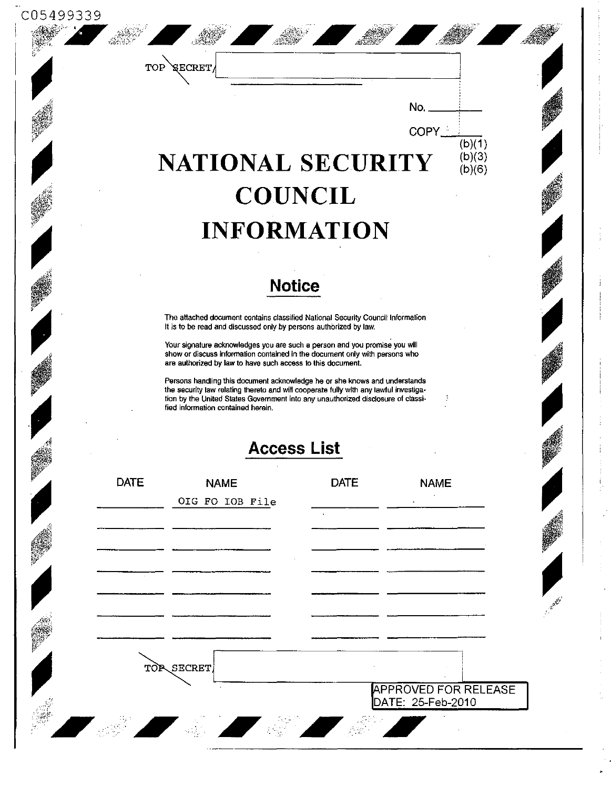| TOP                | <b>SECRET</b>                                                                                                                                                                                                                                                                                 |                    |                                                  |  |  |
|--------------------|-----------------------------------------------------------------------------------------------------------------------------------------------------------------------------------------------------------------------------------------------------------------------------------------------|--------------------|--------------------------------------------------|--|--|
|                    |                                                                                                                                                                                                                                                                                               |                    | No.                                              |  |  |
|                    |                                                                                                                                                                                                                                                                                               |                    | COPY_<br>$\overline{(b)(1)}$<br>(b)(3)           |  |  |
|                    | NATIONAL SECURITY                                                                                                                                                                                                                                                                             |                    | (b)(6)                                           |  |  |
|                    |                                                                                                                                                                                                                                                                                               | <b>COUNCIL</b>     |                                                  |  |  |
|                    |                                                                                                                                                                                                                                                                                               | <b>INFORMATION</b> |                                                  |  |  |
|                    |                                                                                                                                                                                                                                                                                               | <b>Notice</b>      |                                                  |  |  |
|                    | The attached document contains classified National Security Council Information<br>It is to be read and discussed only by persons authorized by law.                                                                                                                                          |                    |                                                  |  |  |
|                    | Your signature acknowledges you are such a person and you promise you will<br>show or discuss information contained in the document only with persons who<br>are authorized by law to have such access to this document.                                                                      |                    |                                                  |  |  |
|                    | Persons handling this document acknowledge he or she knows and understands<br>the security law relating thereto and will cooperate fully with any lawful investiga-<br>tion by the United States Government into any unauthorized disclosure of classi-<br>fied information contained herein. |                    |                                                  |  |  |
| <b>Access List</b> |                                                                                                                                                                                                                                                                                               |                    |                                                  |  |  |
| <b>DATE</b>        | <b>NAME</b><br>OIG FO IOB File                                                                                                                                                                                                                                                                | <b>DATE</b>        | <b>NAME</b>                                      |  |  |
|                    |                                                                                                                                                                                                                                                                                               |                    |                                                  |  |  |
|                    |                                                                                                                                                                                                                                                                                               |                    |                                                  |  |  |
|                    |                                                                                                                                                                                                                                                                                               |                    |                                                  |  |  |
|                    |                                                                                                                                                                                                                                                                                               |                    |                                                  |  |  |
|                    | TOP SECRET                                                                                                                                                                                                                                                                                    |                    |                                                  |  |  |
|                    |                                                                                                                                                                                                                                                                                               |                    | <b>APPROVED FOR RELEASE</b><br>DATE: 25-Feb-2010 |  |  |

 $\frac{1}{2}$ 

j.

 $\sigma_{\rm{eff}}$  and  $\sigma_{\rm{eff}}$  is a set of the set of the set of  $\sigma_{\rm{eff}}$ 

 $\frac{1}{2}$ 

 $\ddot{\phantom{0}}$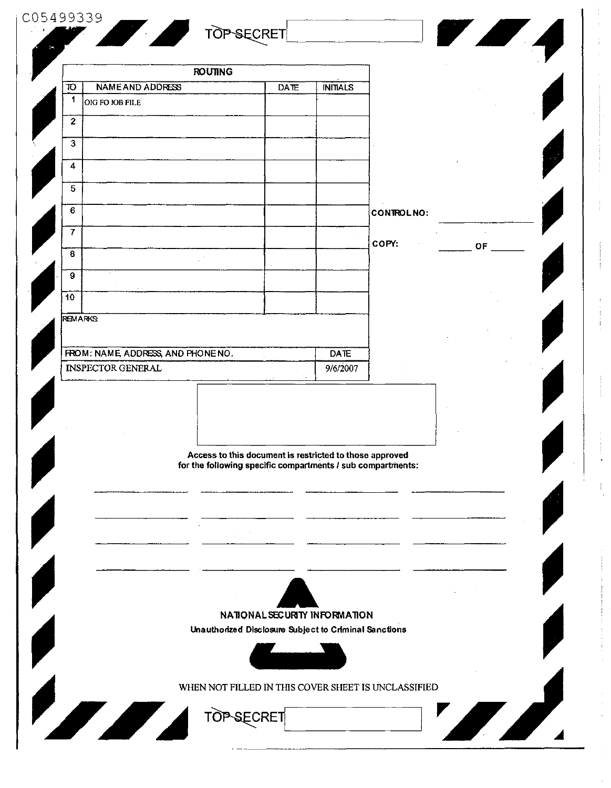|                                                                | <b>ROUTING</b>                                              |                                                         |                         |                   |           |
|----------------------------------------------------------------|-------------------------------------------------------------|---------------------------------------------------------|-------------------------|-------------------|-----------|
| NAME AND ADDRESS<br>10                                         |                                                             | <b>DATE</b>                                             | <b>INITIALS</b>         |                   |           |
| 1<br>OIG FO IOB FILE                                           |                                                             |                                                         |                         |                   |           |
| $\mathbf{2}$                                                   |                                                             |                                                         |                         |                   |           |
| $\mathbf{3}$                                                   |                                                             |                                                         |                         |                   |           |
| 4                                                              |                                                             |                                                         |                         |                   |           |
|                                                                |                                                             |                                                         |                         |                   |           |
| 5 <sub>5</sub>                                                 |                                                             |                                                         |                         |                   |           |
| 6                                                              |                                                             |                                                         |                         | <b>CONTROLNO:</b> |           |
| 7                                                              |                                                             |                                                         |                         |                   |           |
| 8                                                              |                                                             |                                                         |                         | COPY:             | <b>OF</b> |
| 9                                                              |                                                             |                                                         |                         |                   |           |
| 10                                                             |                                                             |                                                         |                         |                   |           |
|                                                                |                                                             |                                                         |                         |                   |           |
| <b>REMARKS</b>                                                 |                                                             |                                                         |                         |                   |           |
|                                                                |                                                             |                                                         |                         |                   |           |
| FROM: NAME, ADDRESS, AND PHONE NO.<br><b>INSPECTOR GENERAL</b> |                                                             |                                                         | <b>DATE</b><br>9/6/2007 |                   |           |
|                                                                |                                                             |                                                         |                         |                   |           |
|                                                                | for the following specific compartments / sub compartments: | Access to this document is restricted to those approved |                         |                   |           |
|                                                                |                                                             |                                                         |                         |                   |           |
|                                                                |                                                             |                                                         |                         |                   |           |
|                                                                |                                                             |                                                         |                         |                   |           |
|                                                                |                                                             |                                                         |                         |                   |           |
|                                                                |                                                             |                                                         |                         |                   |           |
|                                                                |                                                             | NATIONAL SECURITY INFORMATION                           |                         |                   |           |
|                                                                |                                                             | Unauthorized Disclosure Subject to Criminal Sanctions   |                         |                   |           |
|                                                                |                                                             |                                                         |                         |                   |           |
|                                                                |                                                             |                                                         |                         |                   |           |
|                                                                |                                                             |                                                         |                         |                   |           |

计可变 医无子宫

 $\frac{1}{2}$ 

 $\label{eq:3.1} \begin{split} \mathcal{L}_{\text{max}}(\mathbf{r},\mathbf{r}) & = \mathcal{L}_{\text{max}}(\mathbf{r},\mathbf{r}) + \mathcal{L}_{\text{max}}(\mathbf{r},\mathbf{r}) + \mathcal{L}_{\text{max}}(\mathbf{r},\mathbf{r}) + \mathcal{L}_{\text{max}}(\mathbf{r},\mathbf{r}) + \mathcal{L}_{\text{max}}(\mathbf{r},\mathbf{r}) + \mathcal{L}_{\text{max}}(\mathbf{r},\mathbf{r},\mathbf{r}) + \mathcal{L}_{\text{max}}(\mathbf{r},\mathbf{r},\mathbf{r}) + \$ 

 $\frac{1}{2}$  and  $\frac{1}{2}$  and  $\frac{1}{2}$  and  $\frac{1}{2}$ 

 $\mathcal{L}_{\text{max}}$  and  $\mathcal{L}_{\text{max}}$ 

 $\label{eq:2.1} \begin{aligned} \mathcal{L}_{\text{max}}(\mathcal{L}_{\text{max}}) = \mathcal{L}_{\text{max}}(\mathcal{L}_{\text{max}}) \mathcal{L}_{\text{max}}(\mathcal{L}_{\text{max}}) \mathcal{L}_{\text{max}}(\mathcal{L}_{\text{max}}) \\ \mathcal{L}_{\text{max}}(\mathcal{L}_{\text{max}}) = \mathcal{L}_{\text{max}}(\mathcal{L}_{\text{max}}) \mathcal{L}_{\text{max}}(\mathcal{L}_{\text{max}}) \mathcal{L}_{\text{max}}(\mathcal{L}_{\text{max}}) \mathcal{L}_{\text{max}}(\mathcal{L}_{\text$ 

 $\frac{1}{\sqrt{2}}$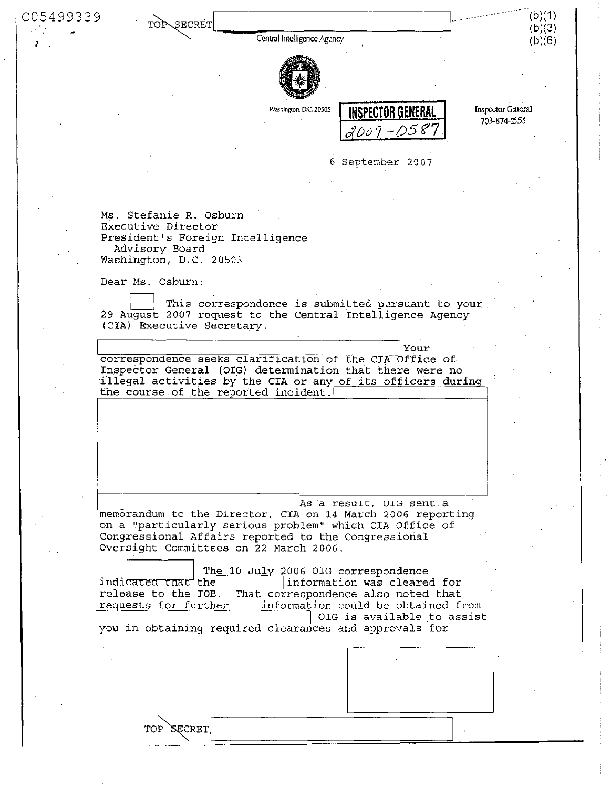C05499339 TOP\SECRET

Central Intelligence Agency



Washington, D.C. 20505 **the INSPECTOR GENERA** *<2001-05\*1* 

Inspector General 703-874-2555

(b)(1) (b)(3) (b)(6)

6 September 20 07

Ms. Stefanie R. Osburn Executive Director President's Foreign Intelligence Advisory Board Washington, D.C. 20503

Dear Ms. Osburn:

TOP SECRET

This correspondence is submitted pursuant to your 29 August 2007 request to the Central Intelligence Agency (CIA) Executive Secretary.

Your correspondence seeks clarification of the CIA Office of Inspector General (OIG) determination that there were no illegal activities by the CIA or any of its officers during the course of the reported incident.

As a result, OIG sent a memorandum to the Director, CIA on 14 March 2006 reporting on a "particularly serious problem" which CIA Office of Congressional Affairs reported to the Congressional Oversight Committees on 22 March 2006.

indicated that the release to the IOB. requests for further The 10 July 2006 OIG correspondence information was cleared for That correspondence also noted that information coüld be obtained from OIG is available to assist you in obtaining required clearances and approvals for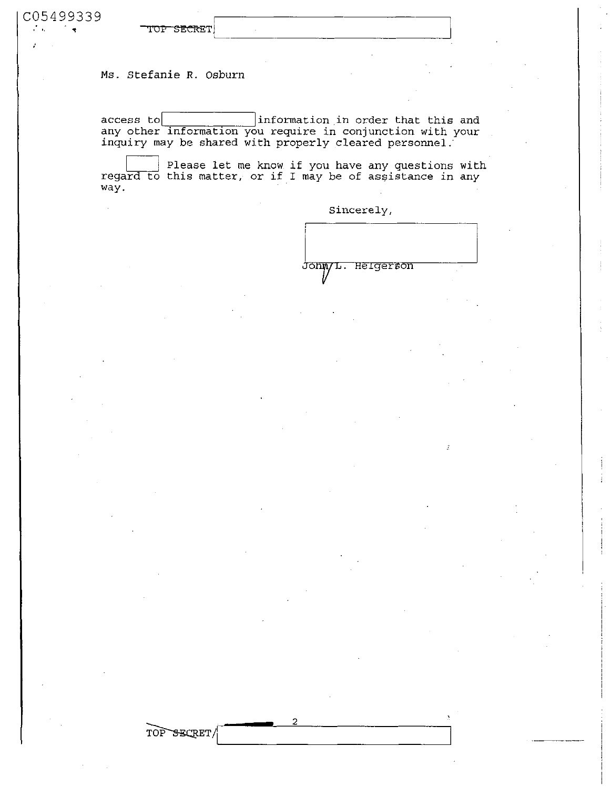| C05499339 |                                 |  |  |  |
|-----------|---------------------------------|--|--|--|
|           |                                 |  |  |  |
| $\sim$    | <del>™≏¤eg<sub>le</sub>nn</del> |  |  |  |
|           |                                 |  |  |  |

Ms. Stefanie R. Osburn

TOP~SECRET/

 $\alpha$  access to information in order that this and any other information you require in conjunction with your inquiry may be shared with properly cleared personnel.'

Please let me know if you have any questions with regard to this matter, or if I may be of assistance in any way.

っ

Sincerely,

donn/L. Helgerson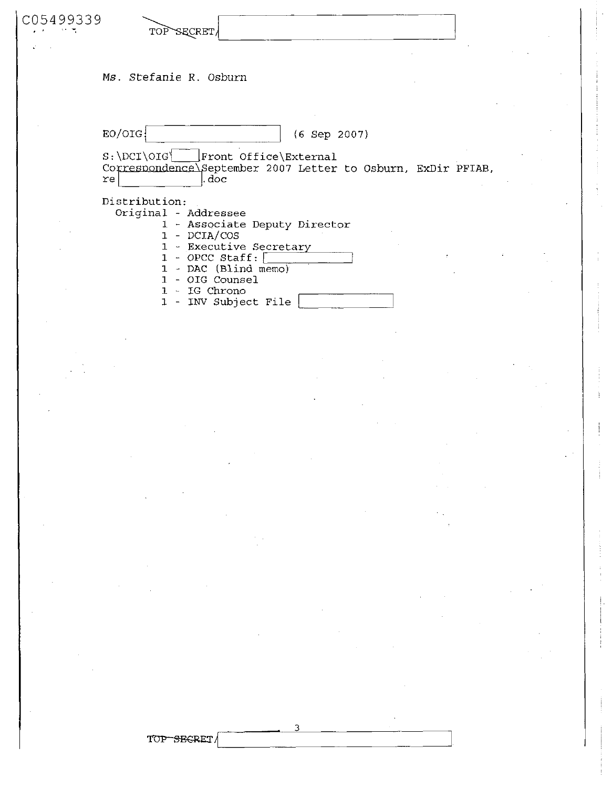| C05499339 | TOP SECRET/                                                                                                                                                                                                      |
|-----------|------------------------------------------------------------------------------------------------------------------------------------------------------------------------------------------------------------------|
|           | Ms. Stefanie R. Osburn                                                                                                                                                                                           |
|           | EO/OIG<br>$(6$ Sep 2007)<br>$S:\D{DCI\ OIG}$<br>Front Office\External<br>Correspondence\September 2007 Letter to Osburn, ExDir PFIAB,<br>.doc<br>re                                                              |
|           | Distribution:<br>Original - Addressee<br>1 - Associate Deputy Director<br>$1 - DCIA/COS$<br>1 - Executive Secretary<br>- OPCC Staff:<br>- DAC (Blind memo)<br>- OIG Counsel<br>IG Chrono<br>1 - INV Subject File |

**. 3** 

TOP-SEGRET/